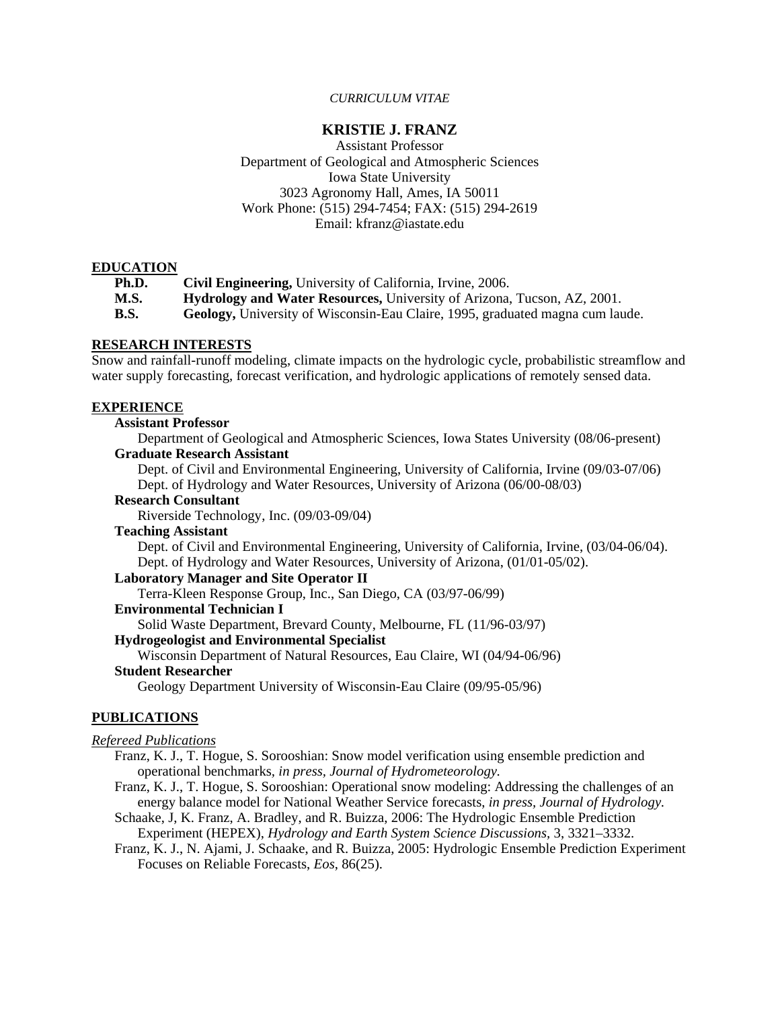### *CURRICULUM VITAE*

### **KRISTIE J. FRANZ**

Assistant Professor Department of Geological and Atmospheric Sciences Iowa State University 3023 Agronomy Hall, Ames, IA 50011 Work Phone: (515) 294-7454; FAX: (515) 294-2619 Email: kfranz@iastate.edu

### **EDUCATION**

| Ph.D. | Civil Engineering, University of California, Irvine, 2006.                     |
|-------|--------------------------------------------------------------------------------|
| M.S.  | <b>Hydrology and Water Resources, University of Arizona, Tucson, AZ, 2001.</b> |
| B.S.  | Geology, University of Wisconsin-Eau Claire, 1995, graduated magna cum laude.  |

# **RESEARCH INTERESTS**

Snow and rainfall-runoff modeling, climate impacts on the hydrologic cycle, probabilistic streamflow and water supply forecasting, forecast verification, and hydrologic applications of remotely sensed data.

### **EXPERIENCE**

### **Assistant Professor**

Department of Geological and Atmospheric Sciences, Iowa States University (08/06-present) **Graduate Research Assistant** 

Dept. of Civil and Environmental Engineering, University of California, Irvine (09/03-07/06) Dept. of Hydrology and Water Resources, University of Arizona (06/00-08/03)

### **Research Consultant**

Riverside Technology, Inc. (09/03-09/04)

#### **Teaching Assistant**

Dept. of Civil and Environmental Engineering, University of California, Irvine, (03/04-06/04). Dept. of Hydrology and Water Resources, University of Arizona, (01/01-05/02).

### **Laboratory Manager and Site Operator II**

Terra-Kleen Response Group, Inc., San Diego, CA (03/97-06/99)

# **Environmental Technician I**

Solid Waste Department, Brevard County, Melbourne, FL (11/96-03/97)

### **Hydrogeologist and Environmental Specialist**

Wisconsin Department of Natural Resources, Eau Claire, WI (04/94-06/96)

### **Student Researcher**

Geology Department University of Wisconsin-Eau Claire (09/95-05/96)

### **PUBLICATIONS**

### *Refereed Publications*

- Franz, K. J., T. Hogue, S. Sorooshian: Snow model verification using ensemble prediction and operational benchmarks*, in press, Journal of Hydrometeorology.*
- Franz, K. J., T. Hogue, S. Sorooshian: Operational snow modeling: Addressing the challenges of an energy balance model for National Weather Service forecasts, *in press, Journal of Hydrology.*
- Schaake, J, K. Franz, A. Bradley, and R. Buizza, 2006: The Hydrologic Ensemble Prediction Experiment (HEPEX), *Hydrology and Earth System Science Discussions,* 3, 3321–3332.
- Franz, K. J., N. Ajami, J. Schaake, and R. Buizza, 2005: Hydrologic Ensemble Prediction Experiment Focuses on Reliable Forecasts, *Eos*, 86(25).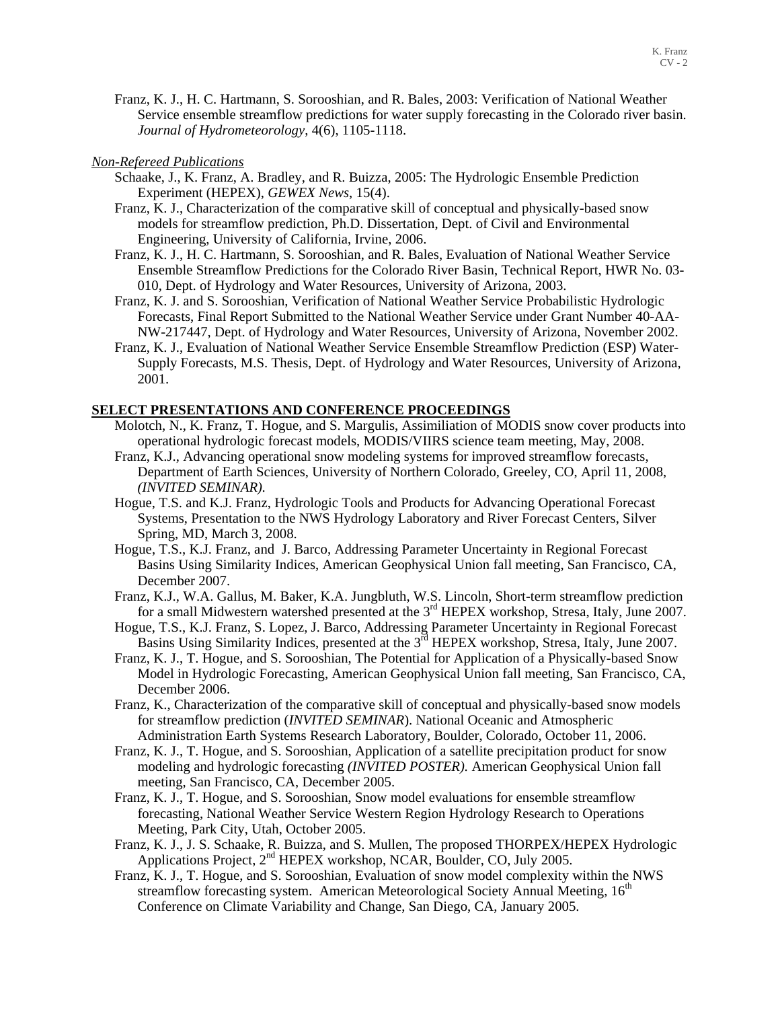Franz, K. J., H. C. Hartmann, S. Sorooshian, and R. Bales, 2003: Verification of National Weather Service ensemble streamflow predictions for water supply forecasting in the Colorado river basin. *Journal of Hydrometeorology*, 4(6), 1105-1118.

### *Non-Refereed Publications*

- Schaake, J., K. Franz, A. Bradley, and R. Buizza, 2005: The Hydrologic Ensemble Prediction Experiment (HEPEX), *GEWEX News*, 15(4).
- Franz, K. J., Characterization of the comparative skill of conceptual and physically-based snow models for streamflow prediction, Ph.D. Dissertation, Dept. of Civil and Environmental Engineering, University of California, Irvine, 2006.
- Franz, K. J., H. C. Hartmann, S. Sorooshian, and R. Bales, Evaluation of National Weather Service Ensemble Streamflow Predictions for the Colorado River Basin, Technical Report, HWR No. 03- 010, Dept. of Hydrology and Water Resources, University of Arizona, 2003.
- Franz, K. J. and S. Sorooshian, Verification of National Weather Service Probabilistic Hydrologic Forecasts, Final Report Submitted to the National Weather Service under Grant Number 40-AA-NW-217447, Dept. of Hydrology and Water Resources, University of Arizona, November 2002.
- Franz, K. J., Evaluation of National Weather Service Ensemble Streamflow Prediction (ESP) Water-Supply Forecasts, M.S. Thesis, Dept. of Hydrology and Water Resources, University of Arizona, 2001.

### **SELECT PRESENTATIONS AND CONFERENCE PROCEEDINGS**

- Molotch, N., K. Franz, T. Hogue, and S. Margulis, Assimiliation of MODIS snow cover products into operational hydrologic forecast models, MODIS/VIIRS science team meeting, May, 2008.
- Franz, K.J., Advancing operational snow modeling systems for improved streamflow forecasts, Department of Earth Sciences, University of Northern Colorado, Greeley, CO, April 11, 2008, *(INVITED SEMINAR).*
- Hogue, T.S. and K.J. Franz, Hydrologic Tools and Products for Advancing Operational Forecast Systems, Presentation to the NWS Hydrology Laboratory and River Forecast Centers, Silver Spring, MD, March 3, 2008.
- Hogue, T.S., K.J. Franz, and J. Barco, Addressing Parameter Uncertainty in Regional Forecast Basins Using Similarity Indices, American Geophysical Union fall meeting, San Francisco, CA, December 2007.
- Franz, K.J., W.A. Gallus, M. Baker, K.A. Jungbluth, W.S. Lincoln, Short-term streamflow prediction for a small Midwestern watershed presented at the 3<sup>rd</sup> HEPEX workshop, Stresa, Italy, June 2007.
- Hogue, T.S., K.J. Franz, S. Lopez, J. Barco, Addressing Parameter Uncertainty in Regional Forecast Basins Using Similarity Indices, presented at the 3<sup>rd</sup> HEPEX workshop, Stresa, Italy, June 2007.
- Franz, K. J., T. Hogue, and S. Sorooshian, The Potential for Application of a Physically-based Snow Model in Hydrologic Forecasting, American Geophysical Union fall meeting, San Francisco, CA, December 2006.
- Franz, K., Characterization of the comparative skill of conceptual and physically-based snow models for streamflow prediction (*INVITED SEMINAR*). National Oceanic and Atmospheric Administration Earth Systems Research Laboratory, Boulder, Colorado, October 11, 2006.
- Franz, K. J., T. Hogue, and S. Sorooshian, Application of a satellite precipitation product for snow modeling and hydrologic forecasting *(INVITED POSTER).* American Geophysical Union fall meeting, San Francisco, CA, December 2005.
- Franz, K. J., T. Hogue, and S. Sorooshian, Snow model evaluations for ensemble streamflow forecasting, National Weather Service Western Region Hydrology Research to Operations Meeting, Park City, Utah, October 2005.
- Franz, K. J., J. S. Schaake, R. Buizza, and S. Mullen, The proposed THORPEX/HEPEX Hydrologic Applications Project, 2<sup>nd</sup> HEPEX workshop, NCAR, Boulder, CO, July 2005.
- Franz, K. J., T. Hogue, and S. Sorooshian, Evaluation of snow model complexity within the NWS streamflow forecasting system. American Meteorological Society Annual Meeting,  $16<sup>th</sup>$ Conference on Climate Variability and Change, San Diego, CA, January 2005.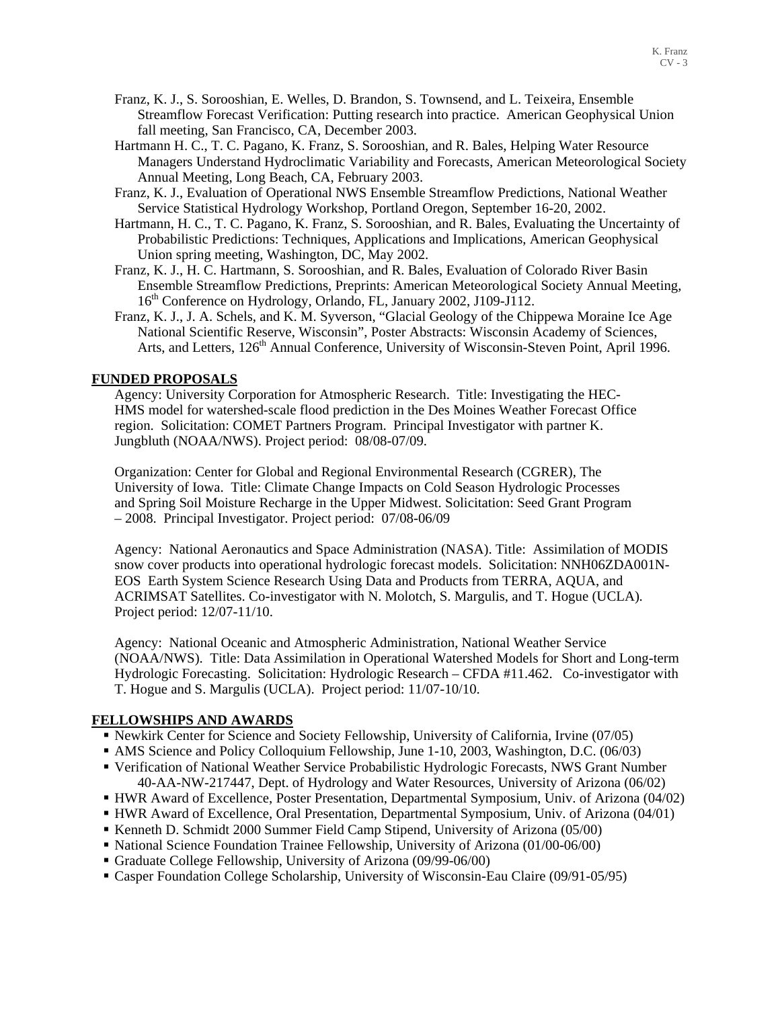- Franz, K. J., S. Sorooshian, E. Welles, D. Brandon, S. Townsend, and L. Teixeira, Ensemble Streamflow Forecast Verification: Putting research into practice. American Geophysical Union fall meeting, San Francisco, CA, December 2003.
- Hartmann H. C., T. C. Pagano, K. Franz, S. Sorooshian, and R. Bales, Helping Water Resource Managers Understand Hydroclimatic Variability and Forecasts, American Meteorological Society Annual Meeting, Long Beach, CA, February 2003.
- Franz, K. J., Evaluation of Operational NWS Ensemble Streamflow Predictions, National Weather Service Statistical Hydrology Workshop, Portland Oregon, September 16-20, 2002.
- Hartmann, H. C., T. C. Pagano, K. Franz, S. Sorooshian, and R. Bales, Evaluating the Uncertainty of Probabilistic Predictions: Techniques, Applications and Implications, American Geophysical Union spring meeting, Washington, DC, May 2002.
- Franz, K. J., H. C. Hartmann, S. Sorooshian, and R. Bales, Evaluation of Colorado River Basin Ensemble Streamflow Predictions, Preprints: American Meteorological Society Annual Meeting, 16<sup>th</sup> Conference on Hydrology, Orlando, FL, January 2002, J109-J112.
- Franz, K. J., J. A. Schels, and K. M. Syverson, "Glacial Geology of the Chippewa Moraine Ice Age National Scientific Reserve, Wisconsin", Poster Abstracts: Wisconsin Academy of Sciences, Arts, and Letters, 126<sup>th</sup> Annual Conference, University of Wisconsin-Steven Point, April 1996.

# **FUNDED PROPOSALS**

Agency: University Corporation for Atmospheric Research. Title: Investigating the HEC-HMS model for watershed-scale flood prediction in the Des Moines Weather Forecast Office region. Solicitation: COMET Partners Program. Principal Investigator with partner K. Jungbluth (NOAA/NWS). Project period: 08/08-07/09.

Organization: Center for Global and Regional Environmental Research (CGRER), The University of Iowa. Title: Climate Change Impacts on Cold Season Hydrologic Processes and Spring Soil Moisture Recharge in the Upper Midwest. Solicitation: Seed Grant Program – 2008. Principal Investigator. Project period: 07/08-06/09

Agency: National Aeronautics and Space Administration (NASA). Title: Assimilation of MODIS snow cover products into operational hydrologic forecast models. Solicitation: NNH06ZDA001N-EOS Earth System Science Research Using Data and Products from TERRA, AQUA, and ACRIMSAT Satellites. Co-investigator with N. Molotch, S. Margulis, and T. Hogue (UCLA)*.*  Project period: 12/07-11/10.

Agency: National Oceanic and Atmospheric Administration, National Weather Service (NOAA/NWS). Title: Data Assimilation in Operational Watershed Models for Short and Long-term Hydrologic Forecasting. Solicitation: Hydrologic Research – CFDA #11.462. Co-investigator with T. Hogue and S. Margulis (UCLA). Project period: 11/07-10/10.

# **FELLOWSHIPS AND AWARDS**

- Newkirk Center for Science and Society Fellowship, University of California, Irvine (07/05)
- AMS Science and Policy Colloquium Fellowship, June 1-10, 2003, Washington, D.C. (06/03)
- Verification of National Weather Service Probabilistic Hydrologic Forecasts, NWS Grant Number 40-AA-NW-217447, Dept. of Hydrology and Water Resources, University of Arizona (06/02)
- HWR Award of Excellence, Poster Presentation, Departmental Symposium, Univ. of Arizona (04/02)
- HWR Award of Excellence, Oral Presentation, Departmental Symposium, Univ. of Arizona (04/01)
- Kenneth D. Schmidt 2000 Summer Field Camp Stipend, University of Arizona (05/00)
- National Science Foundation Trainee Fellowship, University of Arizona (01/00-06/00)
- Graduate College Fellowship, University of Arizona (09/99-06/00)
- Casper Foundation College Scholarship, University of Wisconsin-Eau Claire (09/91-05/95)